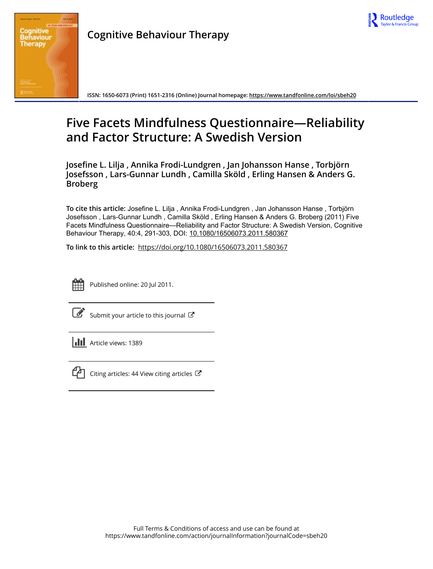

**Cognitive Behaviour Therapy**

**ISSN: 1650-6073 (Print) 1651-2316 (Online) Journal homepage:<https://www.tandfonline.com/loi/sbeh20>**

# **Five Facets Mindfulness Questionnaire—Reliability and Factor Structure: A Swedish Version**

**Josefine L. Lilja , Annika Frodi-Lundgren , Jan Johansson Hanse , Torbjörn Josefsson , Lars-Gunnar Lundh , Camilla Sköld , Erling Hansen & Anders G. Broberg**

**To cite this article:** Josefine L. Lilja , Annika Frodi-Lundgren , Jan Johansson Hanse , Torbjörn Josefsson , Lars-Gunnar Lundh , Camilla Sköld , Erling Hansen & Anders G. Broberg (2011) Five Facets Mindfulness Questionnaire—Reliability and Factor Structure: A Swedish Version, Cognitive Behaviour Therapy, 40:4, 291-303, DOI: [10.1080/16506073.2011.580367](https://www.tandfonline.com/action/showCitFormats?doi=10.1080/16506073.2011.580367)

**To link to this article:** <https://doi.org/10.1080/16506073.2011.580367>



Published online: 20 Jul 2011.

mit your article to this journal  $\mathbb{Z}$ 

**III** Article views: 1389



 $\mathbb{C}$  [Citing articles: 44 View citing articles](https://www.tandfonline.com/doi/citedby/10.1080/16506073.2011.580367#tabModule)  $\mathbb{C}$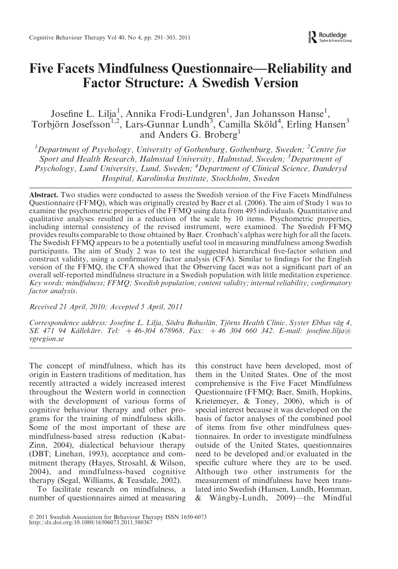## Five Facets Mindfulness Questionnaire—Reliability and Factor Structure: A Swedish Version

Josefine L. Lilja<sup>1</sup>, Annika Frodi-Lundgren<sup>1</sup>, Jan Johansson Hanse<sup>1</sup>, Torbjörn Josefsson<sup>1,2</sup>, Lars-Gunnar Lundh<sup>3</sup>, Camilla Sköld<sup>4</sup>, Erling Hansen<sup>3</sup> and Anders G. Broberg<sup>1</sup>

<sup>1</sup>Department of Psychology, University of Gothenburg, Gothenburg, Sweden; <sup>2</sup>Centre for Sport and Health Research, Halmstad University, Halmstad, Sweden; <sup>3</sup>Department of Psychology, Lund University, Lund, Sweden; <sup>4</sup> Department of Clinical Science, Danderyd Hospital, Karolinska Institute, Stockholm, Sweden

Abstract. Two studies were conducted to assess the Swedish version of the Five Facets Mindfulness Questionnaire (FFMQ), which was originally created by Baer et al. (2006). The aim of Study 1 was to examine the psychometric properties of the FFMQ using data from 495 individuals. Quantitative and qualitative analyses resulted in a reduction of the scale by 10 items. Psychometric properties, including internal consistency of the revised instrument, were examined. The Swedish FFMQ provides results comparable to those obtained by Baer. Cronbach's alphas were high for all the facets. The Swedish FFMQ appears to be a potentially useful tool in measuring mindfulness among Swedish participants. The aim of Study 2 was to test the suggested hierarchical five-factor solution and construct validity, using a confirmatory factor analysis (CFA). Similar to findings for the English version of the FFMQ, the CFA showed that the Observing facet was not a significant part of an overall self-reported mindfulness structure in a Swedish population with little meditation experience. Key words: mindfulness; FFMQ; Swedish population; content validity; internal reliability; confirmatory factor analysis.

Received 21 April, 2010; Accepted 5 April, 2011

Correspondence address: Josefine L. Lilja, Södra Bohuslän, Tjörns Health Clinic, Syster Ebbas väg 4,  $SE$  471 94 Kållekärr. Tel:  $+46-304$  678968. Fax:  $+46$  304 660 342. E-mail: josefine.lilja@ vgregion.se

The concept of mindfulness, which has its origin in Eastern traditions of meditation, has recently attracted a widely increased interest throughout the Western world in connection with the development of various forms of cognitive behaviour therapy and other programs for the training of mindfulness skills. Some of the most important of these are mindfulness-based stress reduction (Kabat-Zinn, 2004), dialectical behaviour therapy (DBT; Linehan, 1993), acceptance and commitment therapy (Hayes, Strosahl, & Wilson, 2004), and mindfulness-based cognitive therapy (Segal, Williams, & Teasdale, 2002).

To facilitate research on mindfulness, a number of questionnaires aimed at measuring this construct have been developed, most of them in the United States. One of the most comprehensive is the Five Facet Mindfulness Questionnaire (FFMQ; Baer, Smith, Hopkins, Krietemeyer, & Toney, 2006), which is of special interest because it was developed on the basis of factor analyses of the combined pool of items from five other mindfulness questionnaires. In order to investigate mindfulness outside of the United States, questionnaires need to be developed and/or evaluated in the specific culture where they are to be used. Although two other instruments for the measurement of mindfulness have been translated into Swedish (Hansen, Lundh, Homman, & Wångby-Lundh, 2009)—the Mindful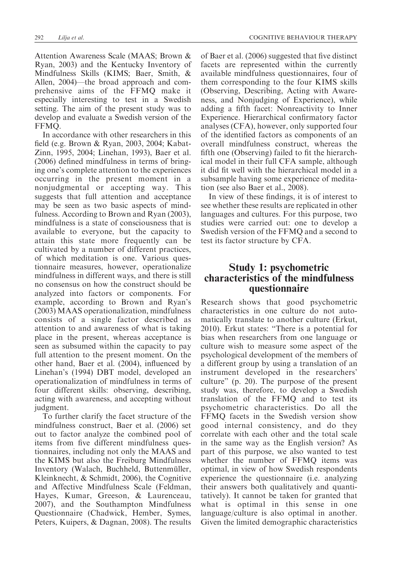Attention Awareness Scale (MAAS; Brown & Ryan, 2003) and the Kentucky Inventory of Mindfulness Skills (KIMS; Baer, Smith, & Allen, 2004)—the broad approach and comprehensive aims of the FFMQ make it especially interesting to test in a Swedish setting. The aim of the present study was to develop and evaluate a Swedish version of the FFMQ.

In accordance with other researchers in this field (e.g. Brown & Ryan, 2003, 2004; Kabat-Zinn, 1995, 2004; Linehan, 1993), Baer et al. (2006) defined mindfulness in terms of bringing one's complete attention to the experiences occurring in the present moment in a nonjudgmental or accepting way. This suggests that full attention and acceptance may be seen as two basic aspects of mindfulness. According to Brown and Ryan (2003), mindfulness is a state of consciousness that is available to everyone, but the capacity to attain this state more frequently can be cultivated by a number of different practices, of which meditation is one. Various questionnaire measures, however, operationalize mindfulness in different ways, and there is still no consensus on how the construct should be analyzed into factors or components. For example, according to Brown and Ryan's (2003) MAAS operationalization, mindfulness consists of a single factor described as attention to and awareness of what is taking place in the present, whereas acceptance is seen as subsumed within the capacity to pay full attention to the present moment. On the other hand, Baer et al. (2004), influenced by Linehan's (1994) DBT model, developed an operationalization of mindfulness in terms of four different skills: observing, describing, acting with awareness, and accepting without judgment.

To further clarify the facet structure of the mindfulness construct, Baer et al. (2006) set out to factor analyze the combined pool of items from five different mindfulness questionnaires, including not only the MAAS and the KIMS but also the Freiburg Mindfulness Inventory (Walach, Buchheld, Buttenmüller, Kleinknecht, & Schmidt, 2006), the Cognitive and Affective Mindfulness Scale (Feldman, Hayes, Kumar, Greeson, & Laurenceau, 2007), and the Southampton Mindfulness Questionnaire (Chadwick, Hember, Symes, Peters, Kuipers, & Dagnan, 2008). The results of Baer et al. (2006) suggested that five distinct facets are represented within the currently available mindfulness questionnaires, four of them corresponding to the four KIMS skills (Observing, Describing, Acting with Awareness, and Nonjudging of Experience), while adding a fifth facet: Nonreactivity to Inner Experience. Hierarchical confirmatory factor analyses (CFA), however, only supported four of the identified factors as components of an overall mindfulness construct, whereas the fifth one (Observing) failed to fit the hierarchical model in their full CFA sample, although it did fit well with the hierarchical model in a subsample having some experience of meditation (see also Baer et al., 2008).

In view of these findings, it is of interest to see whether these results are replicated in other languages and cultures. For this purpose, two studies were carried out: one to develop a Swedish version of the FFMQ and a second to test its factor structure by CFA.

#### Study 1: psychometric characteristics of the mindfulness questionnaire

Research shows that good psychometric characteristics in one culture do not automatically translate to another culture (Erkut, 2010). Erkut states: "There is a potential for bias when researchers from one language or culture wish to measure some aspect of the psychological development of the members of a different group by using a translation of an instrument developed in the researchers' culture" (p. 20). The purpose of the present study was, therefore, to develop a Swedish translation of the FFMQ and to test its psychometric characteristics. Do all the FFMQ facets in the Swedish version show good internal consistency, and do they correlate with each other and the total scale in the same way as the English version? As part of this purpose, we also wanted to test whether the number of FFMO items was optimal, in view of how Swedish respondents experience the questionnaire (i.e. analyzing their answers both qualitatively and quantitatively). It cannot be taken for granted that what is optimal in this sense in one language/culture is also optimal in another. Given the limited demographic characteristics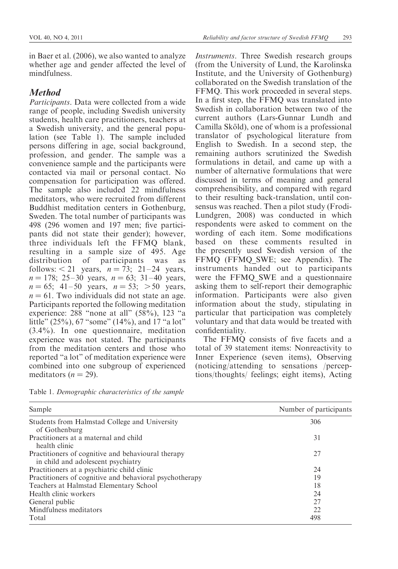in Baer et al. (2006), we also wanted to analyze whether age and gender affected the level of mindfulness.

#### **Method**

Participants. Data were collected from a wide range of people, including Swedish university students, health care practitioners, teachers at a Swedish university, and the general population (see Table 1). The sample included persons differing in age, social background, profession, and gender. The sample was a convenience sample and the participants were contacted via mail or personal contact. No compensation for participation was offered. The sample also included 22 mindfulness meditators, who were recruited from different Buddhist meditation centers in Gothenburg, Sweden. The total number of participants was 498 (296 women and 197 men; five participants did not state their gender); however, three individuals left the FFMQ blank, resulting in a sample size of 495. Age distribution of participants was as follows:  $\lt 21$  years,  $n = 73$ ; 21–24 years,  $n = 178$ ; 25-30 years,  $n = 63$ ; 31-40 years,  $n = 65$ ; 41-50 years,  $n = 53$ ;  $> 50$  years,  $n = 61$ . Two individuals did not state an age. Participants reported the following meditation experience: 288 "none at all" (58%), 123 "a little" (25%), 67 "some" (14%), and 17 "a lot" (3.4%). In one questionnaire, meditation experience was not stated. The participants from the meditation centers and those who reported "a lot" of meditation experience were combined into one subgroup of experienced meditators ( $n = 29$ ).

Instruments. Three Swedish research groups (from the University of Lund, the Karolinska Institute, and the University of Gothenburg) collaborated on the Swedish translation of the FFMQ. This work proceeded in several steps. In a first step, the FFMQ was translated into Swedish in collaboration between two of the current authors (Lars-Gunnar Lundh and Camilla Sköld), one of whom is a professional translator of psychological literature from English to Swedish. In a second step, the remaining authors scrutinized the Swedish formulations in detail, and came up with a number of alternative formulations that were discussed in terms of meaning and general comprehensibility, and compared with regard to their resulting back-translation, until consensus was reached. Then a pilot study (Frodi-Lundgren, 2008) was conducted in which respondents were asked to comment on the wording of each item. Some modifications based on these comments resulted in the presently used Swedish version of the FFMQ (FFMQ\_SWE; see Appendix). The instruments handed out to participants were the FFMQ\_SWE and a questionnaire asking them to self-report their demographic information. Participants were also given information about the study, stipulating in particular that participation was completely voluntary and that data would be treated with confidentiality.

The FFMQ consists of five facets and a total of 39 statement items: Nonreactivity to Inner Experience (seven items), Observing (noticing/attending to sensations /perceptions/thoughts/ feelings; eight items), Acting

Table 1. Demographic characteristics of the sample

| Sample                                                                                   | Number of participants |
|------------------------------------------------------------------------------------------|------------------------|
| Students from Halmstad College and University<br>of Gothenburg                           | 306                    |
| Practitioners at a maternal and child<br>health clinic                                   | 31                     |
| Practitioners of cognitive and behavioural therapy<br>in child and adolescent psychiatry | 27                     |
| Practitioners at a psychiatric child clinic                                              | 24                     |
| Practitioners of cognitive and behavioral psychotherapy                                  | 19                     |
| Teachers at Halmstad Elementary School                                                   | 18                     |
| Health clinic workers                                                                    | 24                     |
| General public                                                                           | 27                     |
| Mindfulness meditators                                                                   | 22                     |
| Total                                                                                    | 498                    |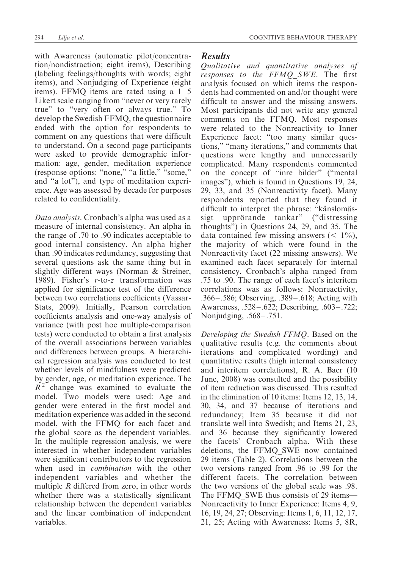with Awareness (automatic pilot/concentration/nondistraction; eight items), Describing (labeling feelings/thoughts with words; eight items), and Nonjudging of Experience (eight items). FFMQ items are rated using a  $1-5$ Likert scale ranging from "never or very rarely true" to "very often or always true." To develop the Swedish FFMQ, the questionnaire ended with the option for respondents to comment on any questions that were difficult to understand. On a second page participants were asked to provide demographic information: age, gender, meditation experience (response options: "none," "a little," "some," and "a lot"), and type of meditation experience. Age was assessed by decade for purposes related to confidentiality.

Data analysis. Cronbach's alpha was used as a measure of internal consistency. An alpha in the range of .70 to .90 indicates acceptable to good internal consistency. An alpha higher than .90 indicates redundancy, suggesting that several questions ask the same thing but in slightly different ways (Norman & Streiner, 1989). Fisher's r-to-z transformation was applied for significance test of the difference between two correlations coefficients (Vassar-Stats, 2009). Initially, Pearson correlation coefficients analysis and one-way analysis of variance (with post hoc multiple-comparison tests) were conducted to obtain a first analysis of the overall associations between variables and differences between groups. A hierarchical regression analysis was conducted to test whether levels of mindfulness were predicted by gender, age, or meditation experience. The  $R<sup>2</sup>$  change was examined to evaluate the model. Two models were used: Age and gender were entered in the first model and meditation experience was added in the second model, with the FFMQ for each facet and the global score as the dependent variables. In the multiple regression analysis, we were interested in whether independent variables were significant contributors to the regression when used in *combination* with the other independent variables and whether the multiple R differed from zero, in other words whether there was a statistically significant relationship between the dependent variables and the linear combination of independent variables.

#### **Results**

Qualitative and quantitative analyses of responses to the FFMO SWE. The first analysis focused on which items the respondents had commented on and/or thought were difficult to answer and the missing answers. Most participants did not write any general comments on the FFMQ. Most responses were related to the Nonreactivity to Inner Experience facet: "too many similar questions," "many iterations," and comments that questions were lengthy and unnecessarily complicated. Many respondents commented on the concept of "inre bilder" ("mental images"), which is found in Questions 19, 24, 29, 33, and 35 (Nonreactivity facet). Many respondents reported that they found it difficult to interpret the phrase: "känslomässigt upprörande tankar" ("distressing thoughts") in Questions 24, 29, and 35. The data contained few missing answers  $(< 1\%$ ), the majority of which were found in the Nonreactivity facet (22 missing answers). We examined each facet separately for internal consistency. Cronbach's alpha ranged from .75 to .90. The range of each facet's interitem correlations was as follows: Nonreactivity, .366 –.586; Observing, .389 –.618; Acting with Awareness, .528 –.622; Describing, .603 –.722; Nonjudging, .568 –.751.

Developing the Swedish FFMQ. Based on the qualitative results (e.g. the comments about iterations and complicated wording) and quantitative results (high internal consistency and interitem correlations), R. A. Baer (10 June, 2008) was consulted and the possibility of item reduction was discussed. This resulted in the elimination of 10 items: Items 12, 13, 14, 30, 34, and 37 because of iterations and redundancy; Item 35 because it did not translate well into Swedish; and Items 21, 23, and 36 because they significantly lowered the facets' Cronbach alpha. With these deletions, the FFMQ\_SWE now contained 29 items (Table 2). Correlations between the two versions ranged from .96 to .99 for the different facets. The correlation between the two versions of the global scale was .98. The FFMQ\_SWE thus consists of 29 items— Nonreactivity to Inner Experience: Items 4, 9, 16, 19, 24, 27; Observing: Items 1, 6, 11, 12, 17, 21, 25; Acting with Awareness: Items 5, 8R,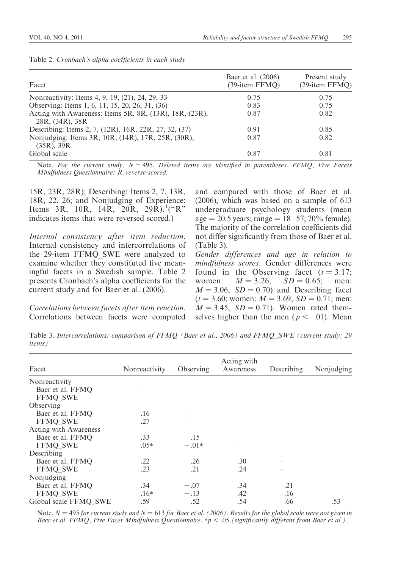| Facet                                                                      | Baer et al. (2006)<br>$(39$ -item FFMO) | Present study<br>$(29$ -item FFMO) |
|----------------------------------------------------------------------------|-----------------------------------------|------------------------------------|
| Nonreactivity: Items 4, 9, 19, (21), 24, 29, 33                            | 0.75                                    | 0.75                               |
| Observing: Items 1, 6, 11, 15, 20, 26, 31, (36)                            | 0.83                                    | 0.75                               |
| Acting with Awareness: Items 5R, 8R, (13R), 18R, (23R),<br>28R, (34R), 38R | 0.87                                    | 0.82                               |
| Describing: Items 2, 7, (12R), 16R, 22R, 27, 32, (37)                      | 0.91                                    | 0.85                               |
| Nonjudging: Items 3R, 10R, (14R), 17R, 25R, (30R),<br>$(35R)$ , $39R$      | 0.87                                    | 0.82                               |
| Global scale                                                               | 0.87                                    | 0.81                               |

Table 2. Cronbach's alpha coefficients in each study

Note. For the current study,  $N = 495$ . Deleted items are identified in parentheses. FFMO, Five Facets Mindfulness Questionnaire; R, reverse-scored.

15R, 23R, 28R); Describing: Items 2, 7, 13R, 18R, 22, 26; and Nonjudging of Experience: Items 3R, 10R, 14R, 20R, 29R).<sup>1</sup>("R" indicates items that were reversed scored.)

Internal consistency after item reduction. Internal consistency and intercorrelations of the 29-item FFMQ\_SWE were analyzed to examine whether they constituted five meaningful facets in a Swedish sample. Table 2 presents Cronbach's alpha coefficients for the current study and for Baer et al. (2006).

Correlations between facets after item reuction. Correlations between facets were computed and compared with those of Baer et al. (2006), which was based on a sample of 613 undergraduate psychology students (mean  $age = 20.5 \text{ years}; range = 18-57; 70\% \text{ female}.$ The majority of the correlation coefficients did not differ significantly from those of Baer et al. (Table 3).

Gender differences and age in relation to mindfulness scores. Gender differences were found in the Observing facet  $(t = 3.17)$ ; women:  $M = 3.26$ ,  $SD = 0.65$ ; men:  $M = 3.06$ ,  $SD = 0.70$  and Describing facet  $(t = 3.60;$  women:  $M = 3.69, SD = 0.71;$  men:  $M = 3.45$ ,  $SD = 0.71$ ). Women rated themselves higher than the men ( $p < .01$ ). Mean

Table 3. Intercorrelations: comparison of FFMQ (Baer et al., 2006) and FFMQ\_SWE (current study; 29 items)

| Facet                 | Nonreactivity | Observing | Acting with<br>Awareness | Describing | Nonjudging |
|-----------------------|---------------|-----------|--------------------------|------------|------------|
| Nonreactivity         |               |           |                          |            |            |
| Baer et al. FFMQ      |               |           |                          |            |            |
| FFMQ_SWE              |               |           |                          |            |            |
| Observing             |               |           |                          |            |            |
| Baer et al. FFMO      | .16           |           |                          |            |            |
| FFMQ SWE              | .27           |           |                          |            |            |
| Acting with Awareness |               |           |                          |            |            |
| Baer et al. FFMO      | .33           | .15       |                          |            |            |
| FFMQ_SWE              | $.05*$        | $-.01*$   |                          |            |            |
| Describing            |               |           |                          |            |            |
| Baer et al. FFMQ      | .22           | .26       | .30                      |            |            |
| FFMQ_SWE              | .23           | .21       | .24                      |            |            |
| Nonjudging            |               |           |                          |            |            |
| Baer et al. FFMQ      | .34           | $-.07$    | .34                      | .21        |            |
| FFMQ_SWE              | $.16*$        | $-.13$    | .42                      | .16        |            |
| Global scale FFMO SWE | .59           | .52       | .54                      | .66        | .53        |

Note.  $N = 495$  for current study and  $N = 613$  for Baer et al. (2006). Results for the global scale were not given in Baer et al. FFMQ, Five Facet Mindfulness Questionnaire.  $\ast p < .05$  (significantly different from Baer et al.).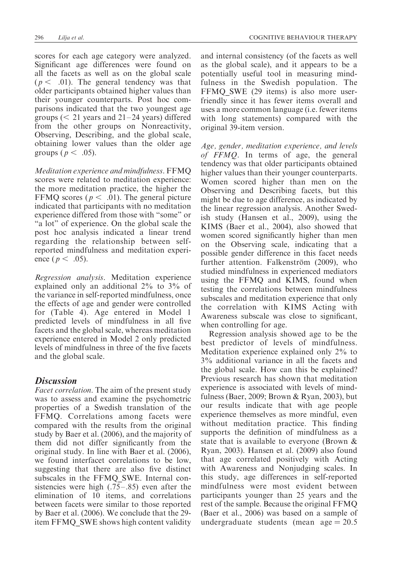scores for each age category were analyzed. Significant age differences were found on all the facets as well as on the global scale  $(p < .01)$ . The general tendency was that older participants obtained higher values than their younger counterparts. Post hoc comparisons indicated that the two youngest age groups ( $\leq$  21 years and 21–24 years) differed from the other groups on Nonreactivity, Observing, Describing, and the global scale, obtaining lower values than the older age groups ( $p < .05$ ).

Meditation experience and mindfulness. FFMQ scores were related to meditation experience: the more meditation practice, the higher the FFMQ scores ( $p < .01$ ). The general picture indicated that participants with no meditation experience differed from those with "some" or "a lot" of experience. On the global scale the post hoc analysis indicated a linear trend regarding the relationship between selfreported mindfulness and meditation experience ( $p < .05$ ).

Regression analysis. Meditation experience explained only an additional 2% to 3% of the variance in self-reported mindfulness, once the effects of age and gender were controlled for (Table 4). Age entered in Model 1 predicted levels of mindfulness in all five facets and the global scale, whereas meditation experience entered in Model 2 only predicted levels of mindfulness in three of the five facets and the global scale.

#### **Discussion**

Facet correlation. The aim of the present study was to assess and examine the psychometric properties of a Swedish translation of the FFMQ. Correlations among facets were compared with the results from the original study by Baer et al. (2006), and the majority of them did not differ significantly from the original study. In line with Baer et al. (2006), we found interfacet correlations to be low, suggesting that there are also five distinct subscales in the FFMQ\_SWE. Internal consistencies were high  $(.75-.85)$  even after the elimination of 10 items, and correlations between facets were similar to those reported by Baer et al. (2006). We conclude that the 29 item FFMQ\_SWE shows high content validity and internal consistency (of the facets as well as the global scale), and it appears to be a potentially useful tool in measuring mindfulness in the Swedish population. The FFMQ SWE (29 items) is also more userfriendly since it has fewer items overall and uses a more common language (i.e. fewer items with long statements) compared with the original 39-item version.

Age, gender, meditation experience, and levels of FFMQ. In terms of age, the general tendency was that older participants obtained higher values than their younger counterparts. Women scored higher than men on the Observing and Describing facets, but this might be due to age difference, as indicated by the linear regression analysis. Another Swedish study (Hansen et al., 2009), using the KIMS (Baer et al., 2004), also showed that women scored significantly higher than men on the Observing scale, indicating that a possible gender difference in this facet needs further attention. Falkenström (2009), who studied mindfulness in experienced mediators using the FFMQ and KIMS, found when testing the correlations between mindfulness subscales and meditation experience that only the correlation with KIMS Acting with Awareness subscale was close to significant, when controlling for age.

Regression analysis showed age to be the best predictor of levels of mindfulness. Meditation experience explained only 2% to 3% additional variance in all the facets and the global scale. How can this be explained? Previous research has shown that meditation experience is associated with levels of mindfulness (Baer, 2009; Brown & Ryan, 2003), but our results indicate that with age people experience themselves as more mindful, even without meditation practice. This finding supports the definition of mindfulness as a state that is available to everyone (Brown & Ryan, 2003). Hansen et al. (2009) also found that age correlated positively with Acting with Awareness and Nonjudging scales. In this study, age differences in self-reported mindfulness were most evident between participants younger than 25 years and the rest of the sample. Because the original FFMQ (Baer et al., 2006) was based on a sample of undergraduate students (mean  $age = 20.5$ )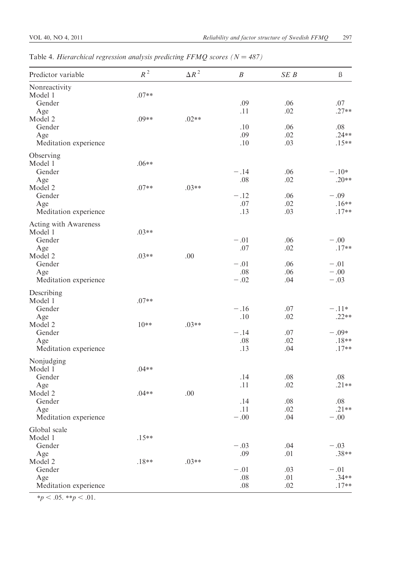| Predictor variable           | $R^2$   | $\Delta R$ $^2$ | $\boldsymbol{B}$ | SE B       | $\beta$            |
|------------------------------|---------|-----------------|------------------|------------|--------------------|
| Nonreactivity<br>Model 1     | $.07**$ |                 |                  |            |                    |
| Gender                       |         |                 | .09              | .06        | .07                |
| Age                          |         |                 | .11              | .02        | $.27**$            |
| Model 2                      | $.09**$ | $.02**$         |                  |            |                    |
| Gender                       |         |                 | .10              | .06        | .08                |
| Age                          |         |                 | .09              | .02        | $.24**$            |
| Meditation experience        |         |                 | .10              | .03        | $.15**$            |
| Observing                    |         |                 |                  |            |                    |
| Model 1                      | $.06**$ |                 |                  |            |                    |
| Gender                       |         |                 | $-.14$           | .06        | $-.10*$            |
| Age                          |         |                 | .08              | .02        | $.20**$            |
| Model 2                      | $.07**$ | $.03**$         |                  |            |                    |
| Gender                       |         |                 | $-.12$           | .06        | $-.09$             |
| Age                          |         |                 | .07<br>.13       | .02<br>.03 | $.16**$<br>$.17**$ |
| Meditation experience        |         |                 |                  |            |                    |
| Acting with Awareness        |         |                 |                  |            |                    |
| Model 1                      | $.03**$ |                 |                  |            |                    |
| Gender                       |         |                 | $-.01$           | .06        | $-.00$             |
| Age                          |         |                 | .07              | .02        | $.17**$            |
| Model 2                      | $.03**$ | .00             |                  |            |                    |
| Gender                       |         |                 | $-.01$<br>.08    | .06<br>.06 | $-.01$<br>$-.00$   |
| Age<br>Meditation experience |         |                 | $-.02$           | .04        | $-.03$             |
|                              |         |                 |                  |            |                    |
| Describing                   |         |                 |                  |            |                    |
| Model 1                      | $.07**$ |                 |                  |            |                    |
| Gender                       |         |                 | $-.16$           | .07        | $-.11*$            |
| Age                          |         |                 | .10              | .02        | $.22**$            |
| Model 2                      | $10**$  | $.03**$         |                  |            |                    |
| Gender                       |         |                 | $-.14$<br>.08    | .07<br>.02 | $-.09*$<br>$.18**$ |
| Age<br>Meditation experience |         |                 | .13              | .04        | $.17**$            |
|                              |         |                 |                  |            |                    |
| Nonjudging                   |         |                 |                  |            |                    |
| Model 1                      | $.04**$ |                 |                  |            |                    |
| Gender                       |         |                 | .14              | .08        | .08                |
| Age                          |         |                 | .11              | .02        | $.21**$            |
| Model 2                      | $.04**$ | .00             |                  |            |                    |
| Gender                       |         |                 | .14<br>.11       | .08<br>.02 | .08<br>$.21**$     |
| Age<br>Meditation experience |         |                 | $-.00$           | .04        | $-.00$             |
|                              |         |                 |                  |            |                    |
| Global scale                 |         |                 |                  |            |                    |
| Model 1                      | $.15**$ |                 |                  |            |                    |
| Gender                       |         |                 | $-.03$           | .04        | $-.03$             |
| Age<br>Model 2               |         | $.03**$         | .09              | .01        | $.38**$            |
| Gender                       | $.18**$ |                 | $-.01$           | .03        | $-.01$             |
| Age                          |         |                 | .08              | $.01\,$    | $.34**$            |
| Meditation experience        |         |                 | $.08\,$          | .02        | $.17**$            |
|                              |         |                 |                  |            |                    |

Table 4. Hierarchical regression analysis predicting FFMQ scores ( $N = 487$ )

 $*p < .05.$  \*\*p < .01.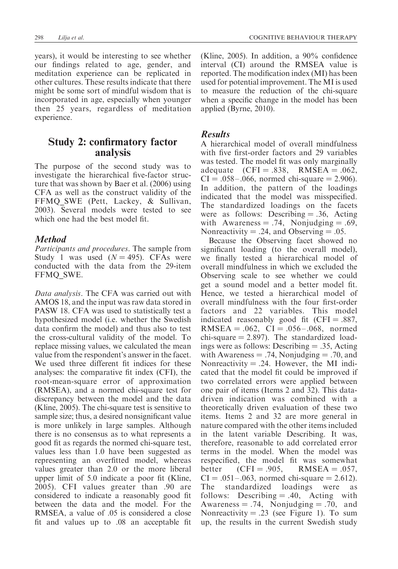years), it would be interesting to see whether our findings related to age, gender, and meditation experience can be replicated in other cultures. These results indicate that there might be some sort of mindful wisdom that is incorporated in age, especially when younger then 25 years, regardless of meditation experience.

#### Study 2: confirmatory factor analysis

The purpose of the second study was to investigate the hierarchical five-factor structure that was shown by Baer et al. (2006) using CFA as well as the construct validity of the FFMQ SWE (Pett, Lackey, & Sullivan, 2003). Several models were tested to see which one had the best model fit.

#### Method

Participants and procedures. The sample from Study 1 was used  $(N = 495)$ . CFAs were conducted with the data from the 29-item FFMQ\_SWE.

Data analysis. The CFA was carried out with AMOS 18, and the input was raw data stored in PASW 18. CFA was used to statistically test a hypothesized model (i.e. whether the Swedish data confirm the model) and thus also to test the cross-cultural validity of the model. To replace missing values, we calculated the mean value from the respondent's answer in the facet. We used three different fit indices for these analyses: the comparative fit index (CFI), the root-mean-square error of approximation (RMSEA), and a normed chi-square test for discrepancy between the model and the data (Kline, 2005). The chi-square test is sensitive to sample size; thus, a desired nonsignificant value is more unlikely in large samples. Although there is no consensus as to what represents a good fit as regards the normed chi-square test, values less than 1.0 have been suggested as representing an overfitted model, whereas values greater than 2.0 or the more liberal upper limit of 5.0 indicate a poor fit (Kline, 2005). CFI values greater than .90 are considered to indicate a reasonably good fit between the data and the model. For the RMSEA, a value of .05 is considered a close fit and values up to .08 an acceptable fit (Kline, 2005). In addition, a 90% confidence interval (CI) around the RMSEA value is reported. The modification index (MI) has been used for potential improvement. The MI is used to measure the reduction of the chi-square when a specific change in the model has been applied (Byrne, 2010).

#### Results

A hierarchical model of overall mindfulness with five first-order factors and 29 variables was tested. The model fit was only marginally adequate  $(CFI = .838$ , RMSEA = .062,  $CI = .058 - .066$ , normed chi-square  $= 2.906$ ). In addition, the pattern of the loadings indicated that the model was misspecified. The standardized loadings on the facets were as follows: Describing  $= .36$ , Acting with Awareness  $= .74$ , Nonjudging  $= .69$ , Nonreactivity  $= .24$ , and Observing  $= .05$ .

Because the Observing facet showed no significant loading (to the overall model), we finally tested a hierarchical model of overall mindfulness in which we excluded the Observing scale to see whether we could get a sound model and a better model fit. Hence, we tested a hierarchical model of overall mindfulness with the four first-order factors and 22 variables. This model indicated reasonably good fit  $(CFI = .887, )$  $RMSEA = .062$ ,  $CI = .056 - .068$ , normed chi-square  $= 2.897$ ). The standardized loadings were as follows: Describing  $= .35$ , Acting with Awareness  $= .74$ , Nonjudging  $= .70$ , and Nonreactivity  $= .24$ . However, the MI indicated that the model fit could be improved if two correlated errors were applied between one pair of items (Items 2 and 32). This datadriven indication was combined with a theoretically driven evaluation of these two items. Items 2 and 32 are more general in nature compared with the other items included in the latent variable Describing. It was, therefore, reasonable to add correlated error terms in the model. When the model was respecified, the model fit was somewhat better  $(CFI = .905$ , RMSEA = .057,  $CI = .051 - .063$ , normed chi-square  $= 2.612$ ). The standardized loadings were as follows: Describing  $= .40$ , Acting with Awareness  $= .74$ , Nonjudging  $= .70$ , and Nonreactivity  $= .23$  (see Figure 1). To sum up, the results in the current Swedish study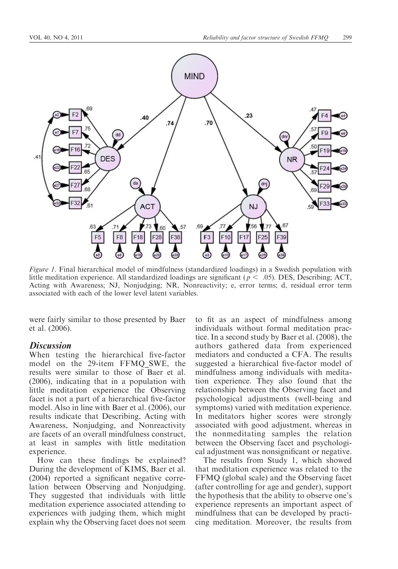

Figure 1. Final hierarchical model of mindfulness (standardized loadings) in a Swedish population with little meditation experience. All standardized loadings are significant ( $p < .05$ ). DES, Describing; ACT, Acting with Awareness; NJ, Nonjudging; NR, Nonreactivity; e, error terms; d, residual error term associated with each of the lower level latent variables.

were fairly similar to those presented by Baer et al. (2006).

#### **Discussion**

When testing the hierarchical five-factor model on the 29-item FFMQ\_SWE, the results were similar to those of Baer et al. (2006), indicating that in a population with little meditation experience the Observing facet is not a part of a hierarchical five-factor model. Also in line with Baer et al. (2006), our results indicate that Describing, Acting with Awareness, Nonjudging, and Nonreactivity are facets of an overall mindfulness construct, at least in samples with little meditation experience.

How can these findings be explained? During the development of KIMS, Baer et al. (2004) reported a significant negative correlation between Observing and Nonjudging. They suggested that individuals with little meditation experience associated attending to experiences with judging them, which might explain why the Observing facet does not seem to fit as an aspect of mindfulness among individuals without formal meditation practice. In a second study by Baer et al. (2008), the authors gathered data from experienced mediators and conducted a CFA. The results suggested a hierarchical five-factor model of mindfulness among individuals with meditation experience. They also found that the relationship between the Observing facet and psychological adjustments (well-being and symptoms) varied with meditation experience. In meditators higher scores were strongly associated with good adjustment, whereas in the nonmeditating samples the relation between the Observing facet and psychological adjustment was nonsignificant or negative.

The results from Study 1, which showed that meditation experience was related to the FFMQ (global scale) and the Observing facet (after controlling for age and gender), support the hypothesis that the ability to observe one's experience represents an important aspect of mindfulness that can be developed by practicing meditation. Moreover, the results from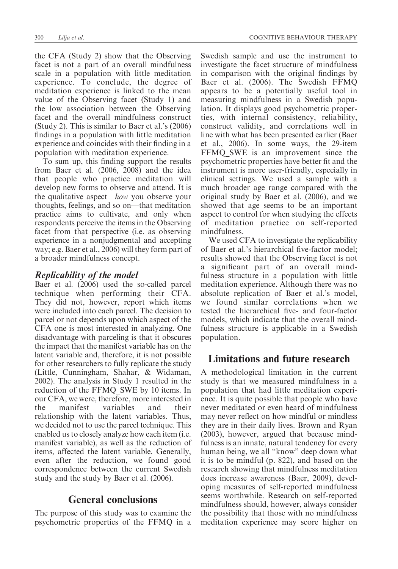the CFA (Study 2) show that the Observing facet is not a part of an overall mindfulness scale in a population with little meditation experience. To conclude, the degree of meditation experience is linked to the mean value of the Observing facet (Study 1) and the low association between the Observing facet and the overall mindfulness construct (Study 2). This is similar to Baer et al.'s (2006) findings in a population with little meditation experience and coincides with their finding in a population with meditation experience.

To sum up, this finding support the results from Baer et al. (2006, 2008) and the idea that people who practice meditation will develop new forms to observe and attend. It is the qualitative aspect—how you observe your thoughts, feelings, and so on—that meditation practice aims to cultivate, and only when respondents perceive the items in the Observing facet from that perspective (i.e. as observing experience in a nonjudgmental and accepting way; e.g. Baer et al., 2006) will they form part of a broader mindfulness concept.

#### Replicability of the model

Baer et al. (2006) used the so-called parcel technique when performing their CFA. They did not, however, report which items were included into each parcel. The decision to parcel or not depends upon which aspect of the CFA one is most interested in analyzing. One disadvantage with parceling is that it obscures the impact that the manifest variable has on the latent variable and, therefore, it is not possible for other researchers to fully replicate the study (Little, Cunningham, Shahar, & Widaman, 2002). The analysis in Study 1 resulted in the reduction of the FFMQ\_SWE by 10 items. In our CFA, we were, therefore, more interested in the manifest variables and their relationship with the latent variables. Thus, we decided not to use the parcel technique. This enabled us to closely analyze how each item (i.e. manifest variable), as well as the reduction of items, affected the latent variable. Generally, even after the reduction, we found good correspondence between the current Swedish study and the study by Baer et al. (2006).

#### General conclusions

The purpose of this study was to examine the psychometric properties of the FFMQ in a Swedish sample and use the instrument to investigate the facet structure of mindfulness in comparison with the original findings by Baer et al. (2006). The Swedish FFMQ appears to be a potentially useful tool in measuring mindfulness in a Swedish population. It displays good psychometric properties, with internal consistency, reliability, construct validity, and correlations well in line with what has been presented earlier (Baer et al., 2006). In some ways, the 29-item FFMQ SWE is an improvement since the psychometric properties have better fit and the instrument is more user-friendly, especially in clinical settings. We used a sample with a much broader age range compared with the original study by Baer et al. (2006), and we showed that age seems to be an important aspect to control for when studying the effects of meditation practice on self-reported mindfulness.

We used CFA to investigate the replicability of Baer et al.'s hierarchical five-factor model; results showed that the Observing facet is not a significant part of an overall mindfulness structure in a population with little meditation experience. Although there was no absolute replication of Baer et al.'s model, we found similar correlations when we tested the hierarchical five- and four-factor models, which indicate that the overall mindfulness structure is applicable in a Swedish population.

#### Limitations and future research

A methodological limitation in the current study is that we measured mindfulness in a population that had little meditation experience. It is quite possible that people who have never meditated or even heard of mindfulness may never reflect on how mindful or mindless they are in their daily lives. Brown and Ryan (2003), however, argued that because mindfulness is an innate, natural tendency for every human being, we all "know" deep down what it is to be mindful (p. 822), and based on the research showing that mindfulness meditation does increase awareness (Baer, 2009), developing measures of self-reported mindfulness seems worthwhile. Research on self-reported mindfulness should, however, always consider the possibility that those with no mindfulness meditation experience may score higher on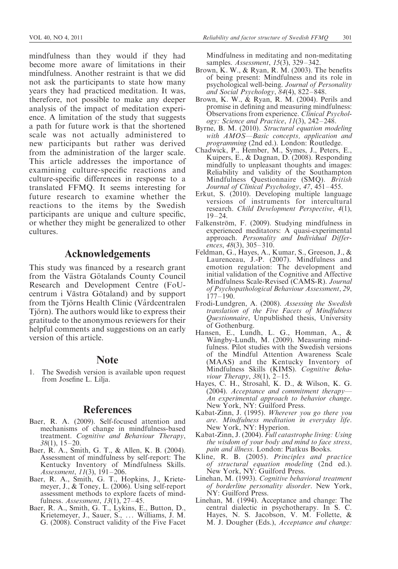mindfulness than they would if they had become more aware of limitations in their mindfulness. Another restraint is that we did not ask the participants to state how many years they had practiced meditation. It was, therefore, not possible to make any deeper analysis of the impact of meditation experience. A limitation of the study that suggests a path for future work is that the shortened scale was not actually administered to new participants but rather was derived from the administration of the larger scale. This article addresses the importance of examining culture-specific reactions and culture-specific differences in response to a translated FFMQ. It seems interesting for future research to examine whether the reactions to the items by the Swedish participants are unique and culture specific, or whether they might be generalized to other cultures.

#### Acknowledgements

This study was financed by a research grant from the Västra Götalands County Council Research and Development Centre (FoUcentrum i Västra Götaland) and by support from the Tjörns Health Clinic (Vårdcentralen Tjörn). The authors would like to express their gratitude to the anonymous reviewers for their helpful comments and suggestions on an early version of this article.

#### Note

1. The Swedish version is available upon request from Josefine L. Lilja.

#### **References**

- Baer, R. A. (2009). Self-focused attention and mechanisms of change in mindfulness-based treatment. Cognitive and Behaviour Therapy,  $38(1)$ ,  $15-20$ .
- Baer, R. A., Smith, G. T., & Allen, K. B. (2004). Assessment of mindfulness by self-report: The Kentucky Inventory of Mindfulness Skills. Assessment, 11(3), 191-206.
- Baer, R. A., Smith, G. T., Hopkins, J., Krietemeyer, J., & Toney, L. (2006). Using self-report assessment methods to explore facets of mindfulness. Assessment, 13(1), 27-45.
- Baer, R. A., Smith, G. T., Lykins, E., Button, D., Krietemeyer, J., Sauer, S., ... Williams, J. M. G. (2008). Construct validity of the Five Facet

Mindfulness in meditating and non-meditating samples. *Assessment*, 15(3), 329–342.

- Brown, K. W., & Ryan, R. M. (2003). The benefits of being present: Mindfulness and its role in psychological well-being. Journal of Personality and Social Psychology, 84(4), 822– 848.
- Brown, K. W., & Ryan, R. M. (2004). Perils and promise in defining and measuring mindfulness: Observations from experience. Clinical Psychology: Science and Practice, 11(3), 242– 248.
- Byrne, B. M. (2010). Structural equation modeling with AMOS—Basic concepts, application and programming (2nd ed.). London: Routledge.
- Chadwick, P., Hember, M., Symes, J., Peters, E., Kuipers, E., & Dagnan, D. (2008). Responding mindfully to unpleasant thoughts and images: Reliability and validity of the Southampton Mindfulness Questionnaire (SMQ). British Journal of Clinical Psychology, 47, 451–455.
- Erkut, S. (2010). Developing multiple language versions of instruments for intercultural research. Child Development Perspective, 4(1),  $19 - 24.$
- Falkenström, F. (2009). Studying mindfulness in experienced meditators: A quasi-experimental approach. Personality and Individual Differences, 48(3), 305– 310.
- Feldman, G., Hayes, A., Kumar, S., Greeson, J., & Laurenceau, J.-P. (2007). Mindfulness and emotion regulation: The development and initial validation of the Cognitive and Affective Mindfulness Scale-Revised (CAMS-R). Journal of Psychopathological Behaviour Assessment, 29,  $177 - 190.$
- Frodi-Lundgren, A. (2008). Assessing the Swedish translation of the Five Facets of Mindfulness Questionnaire, Unpublished thesis, University of Gothenburg.
- Hansen, E., Lundh, L. G., Homman, A., & Wångby-Lundh, M. (2009). Measuring mindfulness. Pilot studies with the Swedish versions of the Mindful Attention Awareness Scale (MAAS) and the Kentucky Inventory of Mindfulness Skills (KIMS). Cognitive Behaviour Therapy,  $38(1)$ ,  $2-15$ .
- Hayes, C. H., Strosahl, K. D., & Wilson, K. G. (2004). Acceptance and commitment therapy— An experimental approach to behavior change. New York, NY: Guilford Press.
- Kabat-Zinn, J. (1995). Wherever you go there you are. Mindfulness meditation in everyday life. New York, NY: Hyperion.
- Kabat-Zinn, J. (2004). Full catastrophe living: Using the wisdom of your body and mind to face stress, pain and illness. London: Piatkus Books.
- Kline, R. B. (2005). Principles and practice of structural equation modeling (2nd ed.). New York, NY: Guilford Press.
- Linehan, M. (1993). Cognitive behavioral treatment of borderline personality disorder. New York, NY: Guilford Press.
- Linehan, M. (1994). Acceptance and change: The central dialectic in psychotherapy. In S. C. Hayes, N. S. Jacobson, V. M. Follette, & M. J. Dougher (Eds.), Acceptance and change: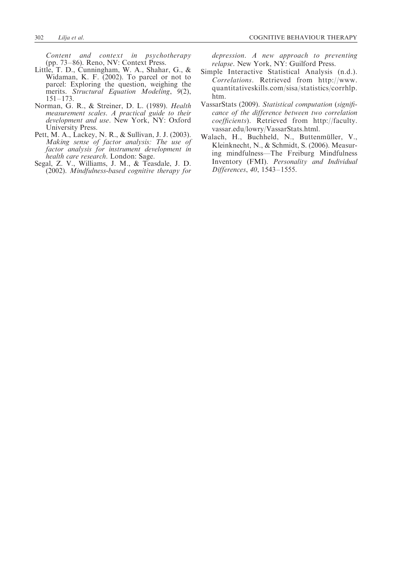Content and context in psychotherapy (pp. 73 – 86). Reno, NV: Context Press.

- Little, T. D., Cunningham, W. A., Shahar, G., & Widaman, K. F. (2002). To parcel or not to parcel: Exploring the question, weighing the merits. Structural Equation Modeling, 9(2), 151–173.
- Norman, G. R., & Streiner, D. L. (1989). Health measurement scales. A practical guide to their development and use. New York, NY: Oxford University Press.
- Pett, M. A., Lackey, N. R., & Sullivan, J. J. (2003). Making sense of factor analysis: The use of factor analysis for instrument development in health care research. London: Sage.
- Segal, Z. V., Williams, J. M., & Teasdale, J. D. (2002). Mindfulness-based cognitive therapy for

depression. A new approach to preventing relapse. New York, NY: Guilford Press.

- Simple Interactive Statistical Analysis (n.d.). Correlations. Retrieved from http://www. quantitativeskills.com/sisa/statistics/corrhlp. htm.
- VassarStats (2009). Statistical computation (significance of the difference between two correlation coefficients). Retrieved from http://faculty. vassar.edu/lowry/VassarStats.html.
- Walach, H., Buchheld, N., Buttenmüller, V., Kleinknecht, N., & Schmidt, S. (2006). Measuring mindfulness—The Freiburg Mindfulness Inventory (FMI). Personality and Individual Differences, 40, 1543– 1555.